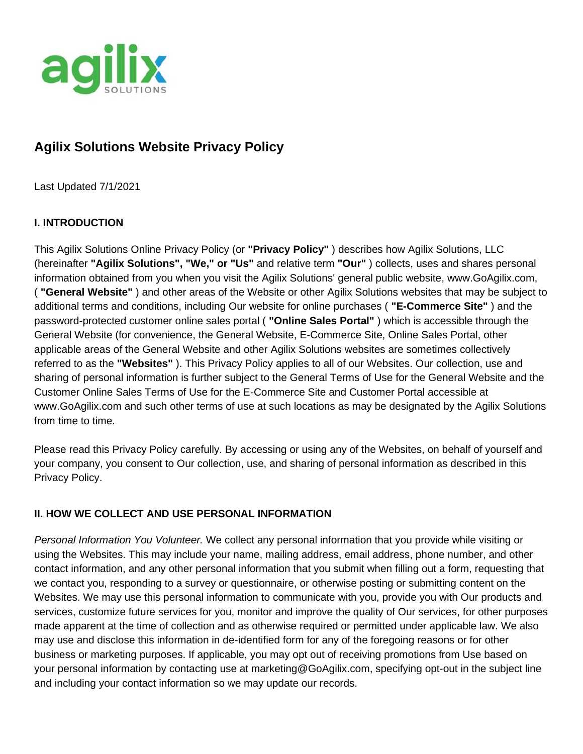

# **Agilix Solutions Website Privacy Policy**

Last Updated 7/1/2021

# **I. INTRODUCTION**

This Agilix Solutions Online Privacy Policy (or **"Privacy Policy"** ) describes how Agilix Solutions, LLC (hereinafter **"Agilix Solutions", "We," or "Us"** and relative term **"Our"** ) collects, uses and shares personal information obtained from you when you visit the Agilix Solutions' general public website, www.GoAgilix.com, ( **"General Website"** ) and other areas of the Website or other Agilix Solutions websites that may be subject to additional terms and conditions, including Our website for online purchases ( **"E-Commerce Site"** ) and the password-protected customer online sales portal ( **"Online Sales Portal"** ) which is accessible through the General Website (for convenience, the General Website, E-Commerce Site, Online Sales Portal, other applicable areas of the General Website and other Agilix Solutions websites are sometimes collectively referred to as the **"Websites"** ). This Privacy Policy applies to all of our Websites. Our collection, use and sharing of personal information is further subject to the General Terms of Use for the General Website and the Customer Online Sales Terms of Use for the E-Commerce Site and Customer Portal accessible at www.GoAgilix.com and such other terms of use at such locations as may be designated by the Agilix Solutions from time to time.

Please read this Privacy Policy carefully. By accessing or using any of the Websites, on behalf of yourself and your company, you consent to Our collection, use, and sharing of personal information as described in this Privacy Policy.

## **II. HOW WE COLLECT AND USE PERSONAL INFORMATION**

*Personal Information You Volunteer.* We collect any personal information that you provide while visiting or using the Websites. This may include your name, mailing address, email address, phone number, and other contact information, and any other personal information that you submit when filling out a form, requesting that we contact you, responding to a survey or questionnaire, or otherwise posting or submitting content on the Websites. We may use this personal information to communicate with you, provide you with Our products and services, customize future services for you, monitor and improve the quality of Our services, for other purposes made apparent at the time of collection and as otherwise required or permitted under applicable law. We also may use and disclose this information in de-identified form for any of the foregoing reasons or for other business or marketing purposes. If applicable, you may opt out of receiving promotions from Use based on your personal information by contacting use at marketing@GoAgilix.com, specifying opt-out in the subject line and including your contact information so we may update our records.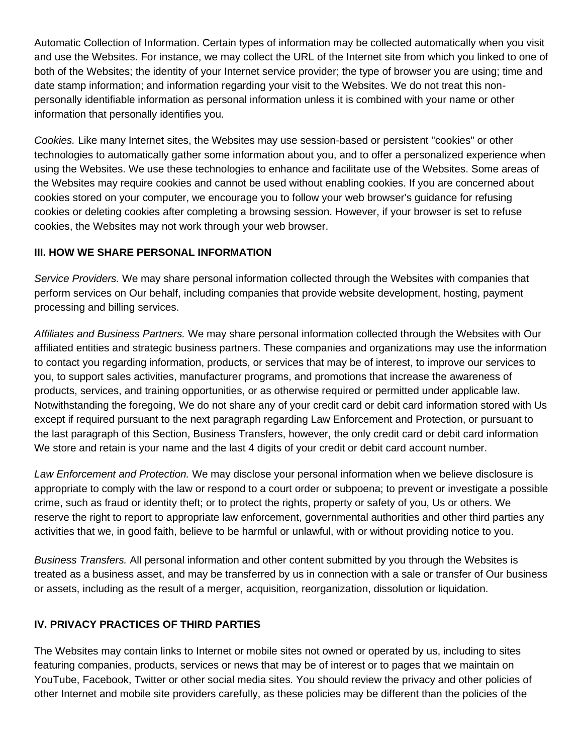Automatic Collection of Information. Certain types of information may be collected automatically when you visit and use the Websites. For instance, we may collect the URL of the Internet site from which you linked to one of both of the Websites; the identity of your Internet service provider; the type of browser you are using; time and date stamp information; and information regarding your visit to the Websites. We do not treat this nonpersonally identifiable information as personal information unless it is combined with your name or other information that personally identifies you.

*Cookies.* Like many Internet sites, the Websites may use session-based or persistent "cookies" or other technologies to automatically gather some information about you, and to offer a personalized experience when using the Websites. We use these technologies to enhance and facilitate use of the Websites. Some areas of the Websites may require cookies and cannot be used without enabling cookies. If you are concerned about cookies stored on your computer, we encourage you to follow your web browser's guidance for refusing cookies or deleting cookies after completing a browsing session. However, if your browser is set to refuse cookies, the Websites may not work through your web browser.

## **III. HOW WE SHARE PERSONAL INFORMATION**

*Service Providers.* We may share personal information collected through the Websites with companies that perform services on Our behalf, including companies that provide website development, hosting, payment processing and billing services.

*Affiliates and Business Partners.* We may share personal information collected through the Websites with Our affiliated entities and strategic business partners. These companies and organizations may use the information to contact you regarding information, products, or services that may be of interest, to improve our services to you, to support sales activities, manufacturer programs, and promotions that increase the awareness of products, services, and training opportunities, or as otherwise required or permitted under applicable law. Notwithstanding the foregoing, We do not share any of your credit card or debit card information stored with Us except if required pursuant to the next paragraph regarding Law Enforcement and Protection, or pursuant to the last paragraph of this Section, Business Transfers, however, the only credit card or debit card information We store and retain is your name and the last 4 digits of your credit or debit card account number.

*Law Enforcement and Protection.* We may disclose your personal information when we believe disclosure is appropriate to comply with the law or respond to a court order or subpoena; to prevent or investigate a possible crime, such as fraud or identity theft; or to protect the rights, property or safety of you, Us or others. We reserve the right to report to appropriate law enforcement, governmental authorities and other third parties any activities that we, in good faith, believe to be harmful or unlawful, with or without providing notice to you.

*Business Transfers.* All personal information and other content submitted by you through the Websites is treated as a business asset, and may be transferred by us in connection with a sale or transfer of Our business or assets, including as the result of a merger, acquisition, reorganization, dissolution or liquidation.

## **IV. PRIVACY PRACTICES OF THIRD PARTIES**

The Websites may contain links to Internet or mobile sites not owned or operated by us, including to sites featuring companies, products, services or news that may be of interest or to pages that we maintain on YouTube, Facebook, Twitter or other social media sites. You should review the privacy and other policies of other Internet and mobile site providers carefully, as these policies may be different than the policies of the